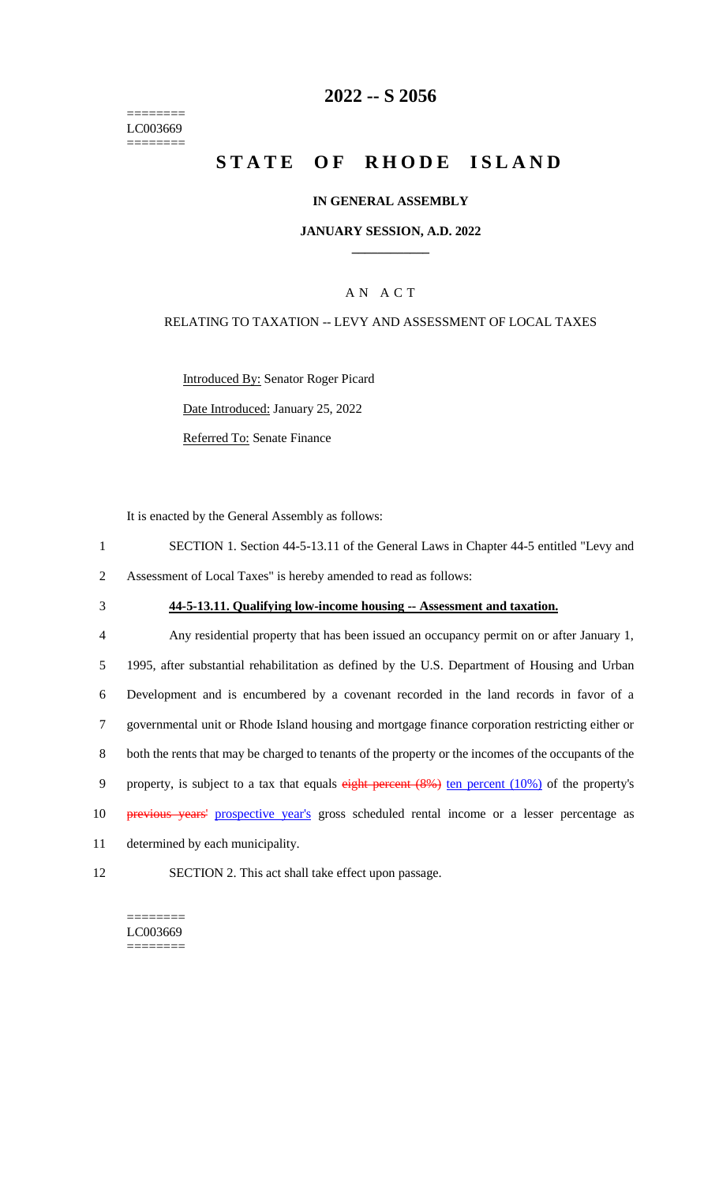======== LC003669 ========

## **2022 -- S 2056**

# **STATE OF RHODE ISLAND**

#### **IN GENERAL ASSEMBLY**

#### **JANUARY SESSION, A.D. 2022 \_\_\_\_\_\_\_\_\_\_\_\_**

## A N A C T

#### RELATING TO TAXATION -- LEVY AND ASSESSMENT OF LOCAL TAXES

Introduced By: Senator Roger Picard

Date Introduced: January 25, 2022

Referred To: Senate Finance

It is enacted by the General Assembly as follows:

- 1 SECTION 1. Section 44-5-13.11 of the General Laws in Chapter 44-5 entitled "Levy and 2 Assessment of Local Taxes" is hereby amended to read as follows:
- 

## 3 **44-5-13.11. Qualifying low-income housing -- Assessment and taxation.**

 Any residential property that has been issued an occupancy permit on or after January 1, 1995, after substantial rehabilitation as defined by the U.S. Department of Housing and Urban Development and is encumbered by a covenant recorded in the land records in favor of a governmental unit or Rhode Island housing and mortgage finance corporation restricting either or both the rents that may be charged to tenants of the property or the incomes of the occupants of the 9 property, is subject to a tax that equals eight percent (8%) ten percent (10%) of the property's **previous years'** prospective year's gross scheduled rental income or a lesser percentage as determined by each municipality.

12 SECTION 2. This act shall take effect upon passage.

 $=$ LC003669 ========